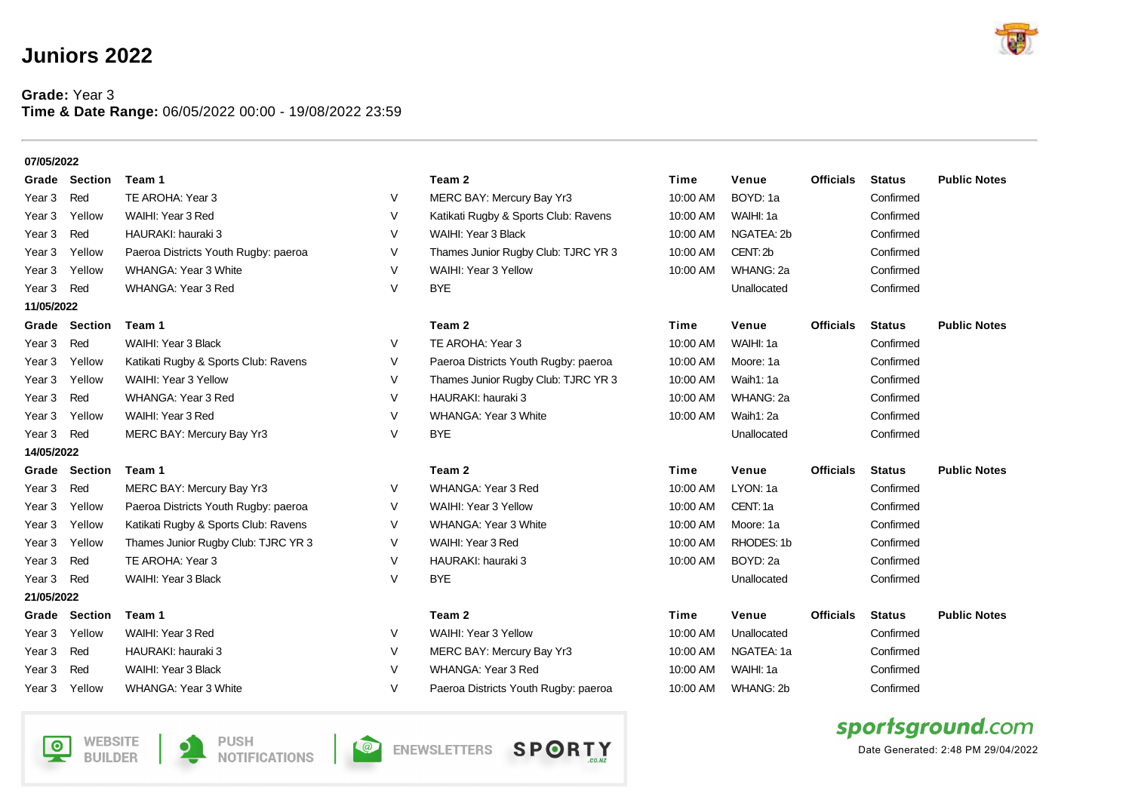## **Juniors 2022**

## **Grade:** Year 3 **Time & Date Range:** 06/05/2022 00:00 - 19/08/2022 23:59

| 07/05/2022        |                           |                                      |                                   |                                      |          |             |                  |               |                     |
|-------------------|---------------------------|--------------------------------------|-----------------------------------|--------------------------------------|----------|-------------|------------------|---------------|---------------------|
|                   | Grade Section             | Team 1                               |                                   | Team 2                               | Time     | Venue       | <b>Officials</b> | <b>Status</b> | <b>Public Notes</b> |
| Year 3            | Red                       | TE AROHA: Year 3                     | $\vee$                            | MERC BAY: Mercury Bay Yr3            | 10:00 AM | BOYD: 1a    |                  | Confirmed     |                     |
| Year 3            | Yellow                    | WAIHI: Year 3 Red                    | V                                 | Katikati Rugby & Sports Club: Ravens | 10:00 AM | WAIHI: 1a   |                  | Confirmed     |                     |
| Year 3            | Red                       | HAURAKI: hauraki 3                   | $\vee$                            | WAIHI: Year 3 Black                  | 10:00 AM | NGATEA: 2b  |                  | Confirmed     |                     |
| Year 3            | Yellow                    | Paeroa Districts Youth Rugby: paeroa | V                                 | Thames Junior Rugby Club: TJRC YR 3  | 10:00 AM | CENT: 2b    |                  | Confirmed     |                     |
| Year 3            | Yellow                    | <b>WHANGA: Year 3 White</b>          | $\vee$                            | WAIHI: Year 3 Yellow                 | 10:00 AM | WHANG: 2a   |                  | Confirmed     |                     |
| Year <sub>3</sub> | Red                       | WHANGA: Year 3 Red                   | $\vee$                            | <b>BYE</b>                           |          | Unallocated |                  | Confirmed     |                     |
| 11/05/2022        |                           |                                      |                                   |                                      |          |             |                  |               |                     |
| Grade             | <b>Section</b>            | Team 1                               |                                   | Team 2                               | Time     | Venue       | <b>Officials</b> | <b>Status</b> | <b>Public Notes</b> |
| Year <sub>3</sub> | Red                       | WAIHI: Year 3 Black                  | $\vee$                            | TE AROHA: Year 3                     | 10:00 AM | WAIHI: 1a   |                  | Confirmed     |                     |
| Year 3            | Yellow                    | Katikati Rugby & Sports Club: Ravens | $\vee$                            | Paeroa Districts Youth Rugby: paeroa | 10:00 AM | Moore: 1a   |                  | Confirmed     |                     |
| Year 3            | Yellow                    | WAIHI: Year 3 Yellow                 | $\vee$                            | Thames Junior Rugby Club: TJRC YR 3  | 10:00 AM | Waih1: 1a   |                  | Confirmed     |                     |
| Year <sub>3</sub> | Red                       | WHANGA: Year 3 Red                   | $\vee$                            | HAURAKI: hauraki 3                   | 10:00 AM | WHANG: 2a   |                  | Confirmed     |                     |
| Year 3            | Yellow                    | WAIHI: Year 3 Red                    | $\vee$                            | <b>WHANGA: Year 3 White</b>          | 10:00 AM | Waih1: 2a   |                  | Confirmed     |                     |
| Year <sub>3</sub> | Red                       | MERC BAY: Mercury Bay Yr3            | $\vee$                            | <b>BYE</b>                           |          | Unallocated |                  | Confirmed     |                     |
| 14/05/2022        |                           |                                      |                                   |                                      |          |             |                  |               |                     |
|                   | Grade Section             | Team 1                               |                                   | Team 2                               | Time     | Venue       | <b>Officials</b> | <b>Status</b> | <b>Public Notes</b> |
| Year 3            | Red                       | MERC BAY: Mercury Bay Yr3            | V                                 | <b>WHANGA: Year 3 Red</b>            | 10:00 AM | LYON: 1a    |                  | Confirmed     |                     |
| Year 3            | Yellow                    | Paeroa Districts Youth Rugby: paeroa | V                                 | WAIHI: Year 3 Yellow                 | 10:00 AM | CENT: 1a    |                  | Confirmed     |                     |
| Year 3            | Yellow                    | Katikati Rugby & Sports Club: Ravens | $\vee$                            | <b>WHANGA: Year 3 White</b>          | 10:00 AM | Moore: 1a   |                  | Confirmed     |                     |
| Year 3            | Yellow                    | Thames Junior Rugby Club: TJRC YR 3  | $\vee$                            | WAIHI: Year 3 Red                    | 10:00 AM | RHODES: 1b  |                  | Confirmed     |                     |
| Year 3            | Red                       | TE AROHA: Year 3                     | $\vee$                            | HAURAKI: hauraki 3                   | 10:00 AM | BOYD: 2a    |                  | Confirmed     |                     |
| Year <sub>3</sub> | Red                       | WAIHI: Year 3 Black                  | $\vee$                            | <b>BYE</b>                           |          | Unallocated |                  | Confirmed     |                     |
| 21/05/2022        |                           |                                      |                                   |                                      |          |             |                  |               |                     |
| Grade             | <b>Section</b>            | Team 1                               |                                   | Team 2                               | Time     | Venue       | <b>Officials</b> | <b>Status</b> | <b>Public Notes</b> |
| Year 3            | Yellow                    | WAIHI: Year 3 Red                    | $\vee$                            | WAIHI: Year 3 Yellow                 | 10:00 AM | Unallocated |                  | Confirmed     |                     |
| Year 3            | Red                       | HAURAKI: hauraki 3                   | V                                 | MERC BAY: Mercury Bay Yr3            | 10:00 AM | NGATEA: 1a  |                  | Confirmed     |                     |
| Year 3            | Red                       | WAIHI: Year 3 Black                  | V                                 | <b>WHANGA: Year 3 Red</b>            | 10:00 AM | WAIHI: 1a   |                  | Confirmed     |                     |
| Year <sub>3</sub> | Yellow                    | <b>WHANGA: Year 3 White</b>          | V                                 | Paeroa Districts Youth Rugby: paeroa | 10:00 AM | WHANG: 2b   |                  | Confirmed     |                     |
|                   |                           |                                      |                                   | sportsground.com                     |          |             |                  |               |                     |
| $\bullet$         | WEBSITE<br><b>BUILDER</b> | <b>PUSH</b><br><b>NOTIFICATIONS</b>  | Date Generated: 2:48 PM 29/04/202 |                                      |          |             |                  |               |                     |